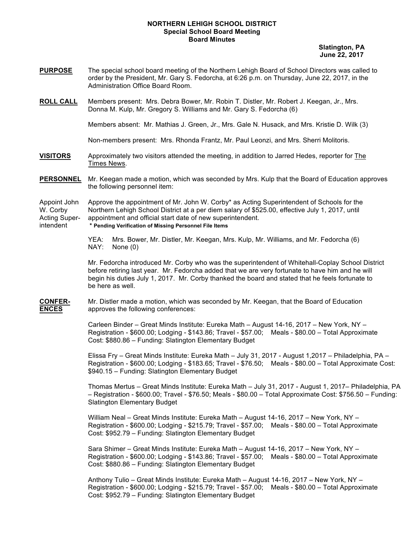## **NORTHERN LEHIGH SCHOOL DISTRICT Special School Board Meeting Board Minutes**

 **Slatington, PA June 22, 2017**

- **PURPOSE** The special school board meeting of the Northern Lehigh Board of School Directors was called to order by the President, Mr. Gary S. Fedorcha, at 6:26 p.m. on Thursday, June 22, 2017, in the Administration Office Board Room.
- **ROLL CALL** Members present: Mrs. Debra Bower, Mr. Robin T. Distler, Mr. Robert J. Keegan, Jr., Mrs. Donna M. Kulp, Mr. Gregory S. Williams and Mr. Gary S. Fedorcha (6)

Members absent: Mr. Mathias J. Green, Jr., Mrs. Gale N. Husack, and Mrs. Kristie D. Wilk (3)

Non-members present: Mrs. Rhonda Frantz, Mr. Paul Leonzi, and Mrs. Sherri Molitoris.

- **VISITORS** Approximately two visitors attended the meeting, in addition to Jarred Hedes, reporter for The Times News.
- **PERSONNEL** Mr. Keegan made a motion, which was seconded by Mrs. Kulp that the Board of Education approves the following personnel item:

Appoint John Approve the appointment of Mr. John W. Corby\* as Acting Superintendent of Schools for the W. Corby Northern Lehigh School District at a per diem salary of \$525.00, effective July 1, 2017, until Acting Super- appointment and official start date of new superintendent. intendent **\* Pending Verification of Missing Personnel File Items**

> YEA: Mrs. Bower, Mr. Distler, Mr. Keegan, Mrs. Kulp, Mr. Williams, and Mr. Fedorcha (6) NAY: None (0)

Mr. Fedorcha introduced Mr. Corby who was the superintendent of Whitehall-Coplay School District before retiring last year. Mr. Fedorcha added that we are very fortunate to have him and he will begin his duties July 1, 2017. Mr. Corby thanked the board and stated that he feels fortunate to be here as well.

**CONFER-** Mr. Distler made a motion, which was seconded by Mr. Keegan, that the Board of Education **ENCES** approves the following conferences:

> Carleen Binder – Great Minds Institute: Eureka Math – August 14-16, 2017 – New York, NY – Registration - \$600.00; Lodging - \$143.86; Travel - \$57.00; Meals - \$80.00 – Total Approximate Cost: \$880.86 – Funding: Slatington Elementary Budget

Elissa Fry – Great Minds Institute: Eureka Math – July 31, 2017 - August 1,2017 – Philadelphia, PA – Registration - \$600.00; Lodging - \$183.65; Travel - \$76.50; Meals - \$80.00 – Total Approximate Cost: \$940.15 – Funding: Slatington Elementary Budget

Thomas Mertus – Great Minds Institute: Eureka Math – July 31, 2017 - August 1, 2017– Philadelphia, PA – Registration - \$600.00; Travel - \$76.50; Meals - \$80.00 – Total Approximate Cost: \$756.50 – Funding: Slatington Elementary Budget

William Neal – Great Minds Institute: Eureka Math – August 14-16, 2017 – New York, NY – Registration - \$600.00; Lodging - \$215.79; Travel - \$57.00; Meals - \$80.00 – Total Approximate Cost: \$952.79 – Funding: Slatington Elementary Budget

Sara Shimer – Great Minds Institute: Eureka Math – August 14-16, 2017 – New York, NY – Registration - \$600.00; Lodging - \$143.86; Travel - \$57.00; Meals - \$80.00 – Total Approximate Cost: \$880.86 – Funding: Slatington Elementary Budget

Anthony Tulio – Great Minds Institute: Eureka Math – August 14-16, 2017 – New York, NY – Registration - \$600.00; Lodging - \$215.79; Travel - \$57.00; Meals - \$80.00 – Total Approximate Cost: \$952.79 – Funding: Slatington Elementary Budget